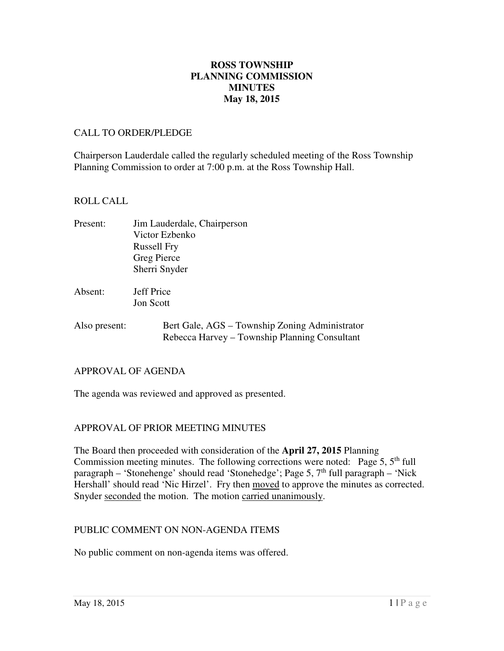## **May 18, 2015 ROSS TOWNSHIP PLANNING COMMISSION MINUTES**

#### CALL TO ORDER/PLEDGE

 Chairperson Lauderdale called the regularly scheduled meeting of the Ross Township Planning Commission to order at 7:00 p.m. at the Ross Township Hall.

#### ROLL CALL

| Present: | Jim Lauderdale, Chairperson |
|----------|-----------------------------|
|          | Victor Ezbenko              |
|          | <b>Russell Fry</b>          |
|          | Greg Pierce                 |
|          | Sherri Snyder               |
|          |                             |

Absent: Jon Scott **Jeff Price** 

Also present: Bert Gale, AGS – Township Zoning Administrator Rebecca Harvey – Township Planning Consultant

#### APPROVAL OF AGENDA

The agenda was reviewed and approved as presented.

# APPROVAL OF PRIOR MEETING MINUTES

 The Board then proceeded with consideration of the **April 27, 2015** Planning Commission meeting minutes. The following corrections were noted: Page  $5, 5<sup>th</sup>$  full paragraph – 'Stonehenge' should read 'Stonehedge'; Page 5, 7<sup>th</sup> full paragraph – 'Nick Hershall' should read 'Nic Hirzel'. Fry then moved to approve the minutes as corrected. Snyder seconded the motion. The motion carried unanimously.

## PUBLIC COMMENT ON NON-AGENDA ITEMS

No public comment on non-agenda items was offered.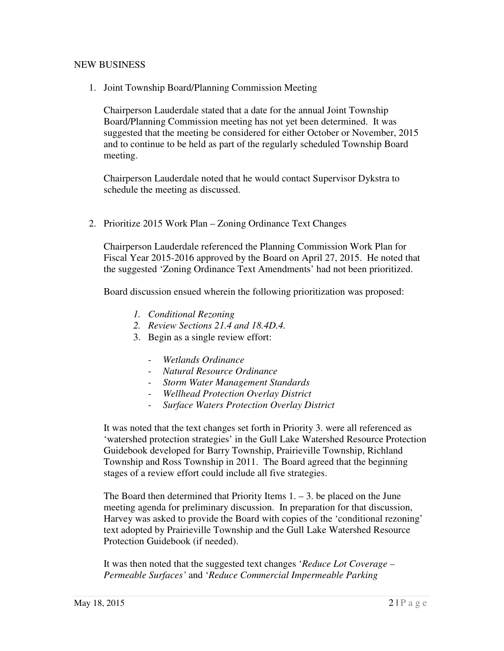## NEW BUSINESS

1. Joint Township Board/Planning Commission Meeting

 Chairperson Lauderdale stated that a date for the annual Joint Township Board/Planning Commission meeting has not yet been determined. It was suggested that the meeting be considered for either October or November, 2015 and to continue to be held as part of the regularly scheduled Township Board meeting.

 Chairperson Lauderdale noted that he would contact Supervisor Dykstra to schedule the meeting as discussed.

2. Prioritize 2015 Work Plan – Zoning Ordinance Text Changes

 Chairperson Lauderdale referenced the Planning Commission Work Plan for Fiscal Year 2015-2016 approved by the Board on April 27, 2015. He noted that the suggested 'Zoning Ordinance Text Amendments' had not been prioritized.

Board discussion ensued wherein the following prioritization was proposed:

- *1. Conditional Rezoning*
- *2. Review Sections 21.4 and 18.4D.4.*
- 3. Begin as a single review effort:
	- *Wetlands Ordinance*
	- *Natural Resource Ordinance*
	- *Storm Water Management Standards*
	- *Wellhead Protection Overlay District*
	- *Surface Waters Protection Overlay District*

 It was noted that the text changes set forth in Priority 3. were all referenced as 'watershed protection strategies' in the Gull Lake Watershed Resource Protection Guidebook developed for Barry Township, Prairieville Township, Richland Township and Ross Township in 2011. The Board agreed that the beginning stages of a review effort could include all five strategies.

The Board then determined that Priority Items  $1. - 3$ . be placed on the June meeting agenda for preliminary discussion. In preparation for that discussion, Harvey was asked to provide the Board with copies of the 'conditional rezoning' text adopted by Prairieville Township and the Gull Lake Watershed Resource Protection Guidebook (if needed).

 It was then noted that the suggested text changes '*Reduce Lot Coverage – Permeable Surfaces'* and '*Reduce Commercial Impermeable Parking*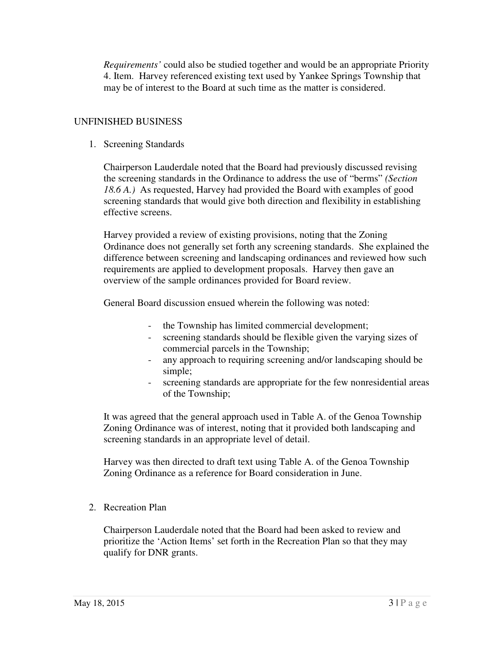*Requirements'* could also be studied together and would be an appropriate Priority 4. Item. Harvey referenced existing text used by Yankee Springs Township that may be of interest to the Board at such time as the matter is considered.

## UNFINISHED BUSINESS

1. Screening Standards

 Chairperson Lauderdale noted that the Board had previously discussed revising the screening standards in the Ordinance to address the use of "berms" *(Section 18.6 A.)* As requested, Harvey had provided the Board with examples of good screening standards that would give both direction and flexibility in establishing effective screens.

 Harvey provided a review of existing provisions, noting that the Zoning Ordinance does not generally set forth any screening standards. She explained the difference between screening and landscaping ordinances and reviewed how such requirements are applied to development proposals. Harvey then gave an overview of the sample ordinances provided for Board review.

General Board discussion ensued wherein the following was noted:

- the Township has limited commercial development;
- - screening standards should be flexible given the varying sizes of commercial parcels in the Township;
- - any approach to requiring screening and/or landscaping should be simple;
- - screening standards are appropriate for the few nonresidential areas of the Township;

 It was agreed that the general approach used in Table A. of the Genoa Township Zoning Ordinance was of interest, noting that it provided both landscaping and screening standards in an appropriate level of detail.

 Harvey was then directed to draft text using Table A. of the Genoa Township Zoning Ordinance as a reference for Board consideration in June.

2. Recreation Plan

 Chairperson Lauderdale noted that the Board had been asked to review and prioritize the 'Action Items' set forth in the Recreation Plan so that they may qualify for DNR grants.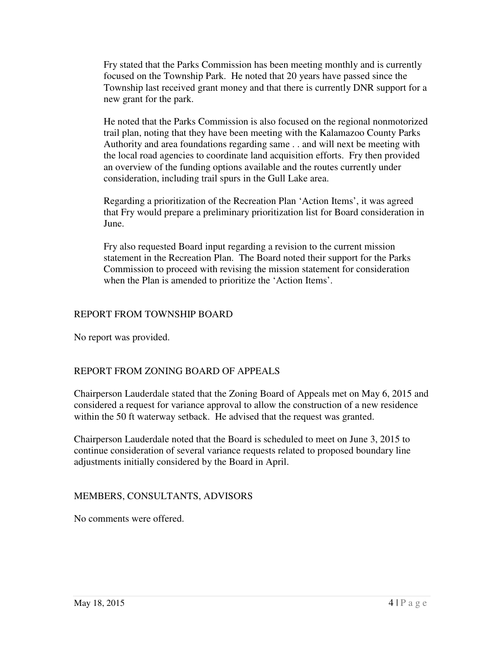Fry stated that the Parks Commission has been meeting monthly and is currently focused on the Township Park. He noted that 20 years have passed since the Township last received grant money and that there is currently DNR support for a new grant for the park.

 He noted that the Parks Commission is also focused on the regional nonmotorized trail plan, noting that they have been meeting with the Kalamazoo County Parks Authority and area foundations regarding same . . and will next be meeting with the local road agencies to coordinate land acquisition efforts. Fry then provided an overview of the funding options available and the routes currently under consideration, including trail spurs in the Gull Lake area.

 Regarding a prioritization of the Recreation Plan 'Action Items', it was agreed that Fry would prepare a preliminary prioritization list for Board consideration in June.

 Fry also requested Board input regarding a revision to the current mission statement in the Recreation Plan. The Board noted their support for the Parks Commission to proceed with revising the mission statement for consideration when the Plan is amended to prioritize the 'Action Items'.

# REPORT FROM TOWNSHIP BOARD

No report was provided.

## REPORT FROM ZONING BOARD OF APPEALS

 Chairperson Lauderdale stated that the Zoning Board of Appeals met on May 6, 2015 and considered a request for variance approval to allow the construction of a new residence within the 50 ft waterway setback. He advised that the request was granted.

 Chairperson Lauderdale noted that the Board is scheduled to meet on June 3, 2015 to continue consideration of several variance requests related to proposed boundary line adjustments initially considered by the Board in April.

## MEMBERS, CONSULTANTS, ADVISORS

No comments were offered.